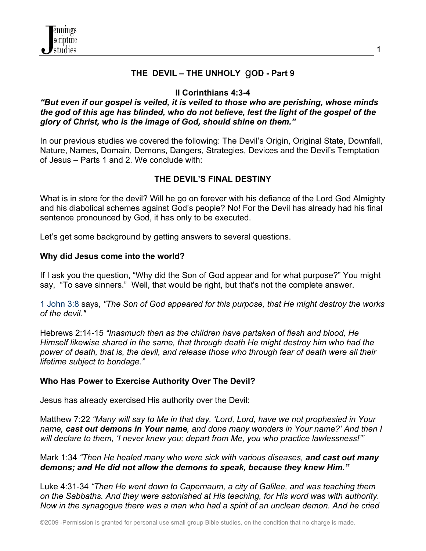

## **THE DEVIL – THE UNHOLY** g**OD - Part 9**

# **II Corinthians 4:3-4**

#### *"But even if our gospel is veiled, it is veiled to those who are perishing, whose minds the god of this age has blinded, who do not believe, lest the light of the gospel of the glory of Christ, who is the image of God, should shine on them."*

In our previous studies we covered the following: The Devil's Origin, Original State, Downfall, Nature, Names, Domain, Demons, Dangers, Strategies, Devices and the Devil's Temptation of Jesus – Parts 1 and 2. We conclude with:

# **THE DEVIL'S FINAL DESTINY**

What is in store for the devil? Will he go on forever with his defiance of the Lord God Almighty and his diabolical schemes against God's people? No! For the Devil has already had his final sentence pronounced by God, it has only to be executed.

Let's get some background by getting answers to several questions.

#### **Why did Jesus come into the world?**

If I ask you the question, "Why did the Son of God appear and for what purpose?" You might say, "To save sinners." Well, that would be right, but that's not the complete answer.

1 John 3:8 says, *"The Son of God appeared for this purpose, that He might destroy the works of the devil."*

Hebrews 2:14-15 *"Inasmuch then as the children have partaken of flesh and blood, He Himself likewise shared in the same, that through death He might destroy him who had the power of death, that is, the devil, and release those who through fear of death were all their lifetime subject to bondage."*

## **Who Has Power to Exercise Authority Over The Devil?**

Jesus has already exercised His authority over the Devil:

Matthew 7:22 *"Many will say to Me in that day, 'Lord, Lord, have we not prophesied in Your name, cast out demons in Your name, and done many wonders in Your name?' And then I will declare to them, 'I never knew you; depart from Me, you who practice lawlessness!'"*

Mark 1:34 *"Then He healed many who were sick with various diseases, and cast out many demons; and He did not allow the demons to speak, because they knew Him."*

Luke 4:31-34 *"Then He went down to Capernaum, a city of Galilee, and was teaching them on the Sabbaths. And they were astonished at His teaching, for His word was with authority. Now in the synagogue there was a man who had a spirit of an unclean demon. And he cried*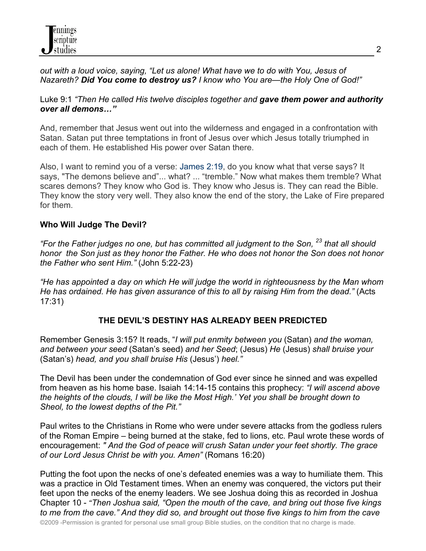*out with a loud voice, saying, "Let us alone! What have we to do with You, Jesus of Nazareth? Did You come to destroy us? I know who You are—the Holy One of God!"*

#### Luke 9:1 *"Then He called His twelve disciples together and gave them power and authority over all demons…"*

And, remember that Jesus went out into the wilderness and engaged in a confrontation with Satan. Satan put three temptations in front of Jesus over which Jesus totally triumphed in each of them. He established His power over Satan there.

Also, I want to remind you of a verse: James 2:19, do you know what that verse says? It says, "The demons believe and"... what? ... "tremble." Now what makes them tremble? What scares demons? They know who God is. They know who Jesus is. They can read the Bible. They know the story very well. They also know the end of the story, the Lake of Fire prepared for them.

## **Who Will Judge The Devil?**

*"For the Father judges no one, but has committed all judgment to the Son, 23 that all should honor the Son just as they honor the Father. He who does not honor the Son does not honor the Father who sent Him."* (John 5:22-23)

*"He has appointed a day on which He will judge the world in righteousness by the Man whom He has ordained. He has given assurance of this to all by raising Him from the dead."* (Acts 17:31)

## **THE DEVIL'S DESTINY HAS ALREADY BEEN PREDICTED**

Remember Genesis 3:15? It reads, "*I will put enmity between you* (Satan) *and the woman, and between your seed* (Satan's seed) *and her Seed*; (Jesus) *He* (Jesus) *shall bruise your* (Satan's) *head, and you shall bruise His* (Jesus') *heel."*

The Devil has been under the condemnation of God ever since he sinned and was expelled from heaven as his home base. Isaiah 14:14-15 contains this prophecy: *"I will ascend above the heights of the clouds, I will be like the Most High.' Yet you shall be brought down to Sheol, to the lowest depths of the Pit."* 

Paul writes to the Christians in Rome who were under severe attacks from the godless rulers of the Roman Empire – being burned at the stake, fed to lions, etc. Paul wrote these words of encouragement: *" And the God of peace will crush Satan under your feet shortly. The grace of our Lord Jesus Christ be with you. Amen"* (Romans 16:20)

Putting the foot upon the necks of one's defeated enemies was a way to humiliate them. This was a practice in Old Testament times. When an enemy was conquered, the victors put their feet upon the necks of the enemy leaders. We see Joshua doing this as recorded in Joshua Chapter 10 - *"Then Joshua said, "Open the mouth of the cave, and bring out those five kings to me from the cave." And they did so, and brought out those five kings to him from the cave* 

2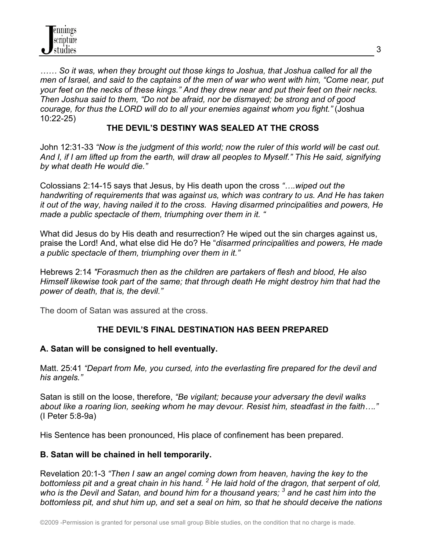*…… So it was, when they brought out those kings to Joshua, that Joshua called for all the men of Israel, and said to the captains of the men of war who went with him, "Come near, put your feet on the necks of these kings." And they drew near and put their feet on their necks. Then Joshua said to them, "Do not be afraid, nor be dismayed; be strong and of good courage, for thus the LORD will do to all your enemies against whom you fight."* (Joshua 10:22-25)

## **THE DEVIL'S DESTINY WAS SEALED AT THE CROSS**

John 12:31-33 *"Now is the judgment of this world; now the ruler of this world will be cast out. And I, if I am lifted up from the earth, will draw all peoples to Myself." This He said, signifying by what death He would die."*

Colossians 2:14-15 says that Jesus, by His death upon the cross *"….wiped out the handwriting of requirements that was against us, which was contrary to us. And He has taken it out of the way, having nailed it to the cross. Having disarmed principalities and powers, He made a public spectacle of them, triumphing over them in it. "* 

What did Jesus do by His death and resurrection? He wiped out the sin charges against us, praise the Lord! And, what else did He do? He "*disarmed principalities and powers, He made a public spectacle of them, triumphing over them in it."*

Hebrews 2:14 *"Forasmuch then as the children are partakers of flesh and blood, He also Himself likewise took part of the same; that through death He might destroy him that had the power of death, that is, the devil."*

The doom of Satan was assured at the cross.

# **THE DEVIL'S FINAL DESTINATION HAS BEEN PREPARED**

## **A. Satan will be consigned to hell eventually.**

Matt. 25:41 *"Depart from Me, you cursed, into the everlasting fire prepared for the devil and his angels."*

Satan is still on the loose, therefore, *"Be vigilant; because your adversary the devil walks about like a roaring lion, seeking whom he may devour. Resist him, steadfast in the faith…."* (I Peter 5:8-9a)

His Sentence has been pronounced, His place of confinement has been prepared.

## **B. Satan will be chained in hell temporarily.**

Revelation 20:1-3 *"Then I saw an angel coming down from heaven, having the key to the bottomless pit and a great chain in his hand. 2 He laid hold of the dragon, that serpent of old, who is the Devil and Satan, and bound him for a thousand years; 3 and he cast him into the bottomless pit, and shut him up, and set a seal on him, so that he should deceive the nations*